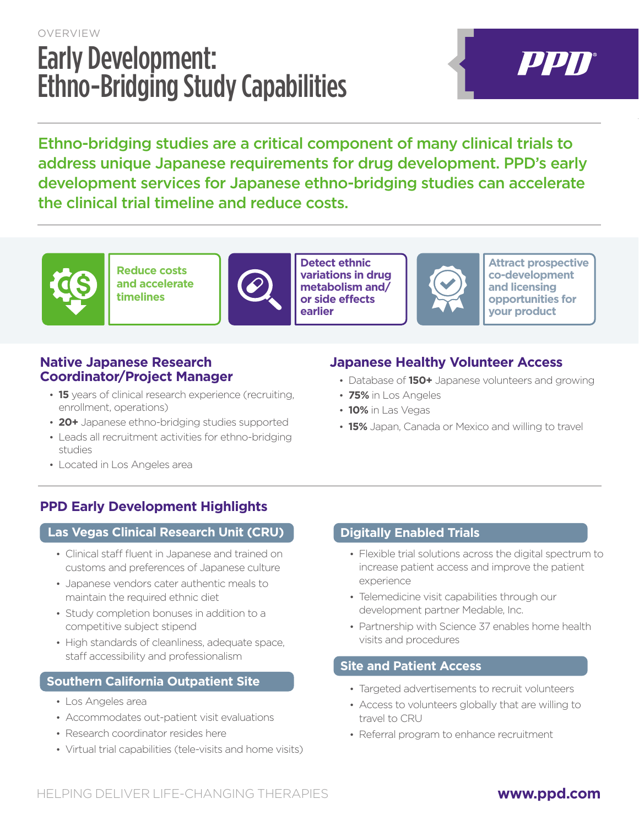## OVERVIEW Early Development: Ethno-Bridging Study Capabilities

# PPN

Ethno-bridging studies are a critical component of many clinical trials to address unique Japanese requirements for drug development. PPD's early development services for Japanese ethno-bridging studies can accelerate the clinical trial timeline and reduce costs.



**Reduce costs and accelerate timelines**



**Detect ethnic variations in drug metabolism and/ or side effects earlier**



**Attract prospective co-development and licensing opportunities for your product**

#### **Native Japanese Research Coordinator/Project Manager**

- **15** years of clinical research experience (recruiting, enrollment, operations)
- **20+** Japanese ethno-bridging studies supported
- Leads all recruitment activities for ethno-bridging studies

### **Japanese Healthy Volunteer Access**

- Database of **150+** Japanese volunteers and growing
- **75%** in Los Angeles
- **10%** in Las Vegas
- **15%** Japan, Canada or Mexico and willing to travel

• Located in Los Angeles area

#### **PPD Early Development Highlights**

#### **Las Vegas Clinical Research Unit (CRU) Digitally Enabled Trials**

- Clinical staff fluent in Japanese and trained on customs and preferences of Japanese culture
- Japanese vendors cater authentic meals to maintain the required ethnic diet
- Study completion bonuses in addition to a competitive subject stipend
- High standards of cleanliness, adequate space, staff accessibility and professionalism

#### **Southern California Outpatient Site**

- Los Angeles area
- Accommodates out-patient visit evaluations
- Research coordinator resides here
- Virtual trial capabilities (tele-visits and home visits)

- Flexible trial solutions across the digital spectrum to increase patient access and improve the patient experience
- Telemedicine visit capabilities through our development partner Medable, Inc.
- Partnership with Science 37 enables home health visits and procedures

#### **Site and Patient Access**

- Targeted advertisements to recruit volunteers
- Access to volunteers globally that are willing to travel to CRU
- Referral program to enhance recruitment